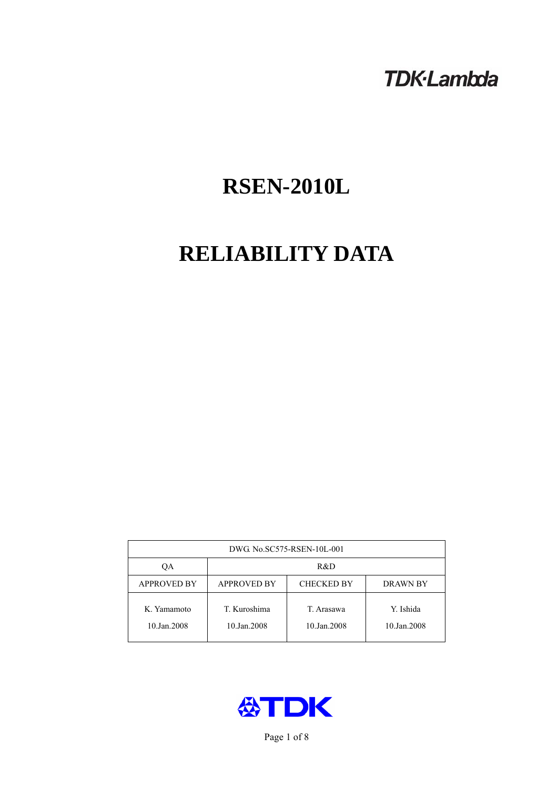## **TDK-Lambda**

# **RSEN-2010L**

# **RELIABILITY DATA**

| DWG No.SC575-RSEN-10L-001  |                                                     |                           |                          |  |  |
|----------------------------|-----------------------------------------------------|---------------------------|--------------------------|--|--|
| OА                         | R&D                                                 |                           |                          |  |  |
| <b>APPROVED BY</b>         | <b>APPROVED BY</b><br><b>CHECKED BY</b><br>DRAWN BY |                           |                          |  |  |
| K. Yamamoto<br>10.Jan.2008 | T. Kuroshima<br>10.Jan.2008                         | T. Arasawa<br>10.Jan.2008 | Y. Ishida<br>10.Jan.2008 |  |  |



Page 1 of 8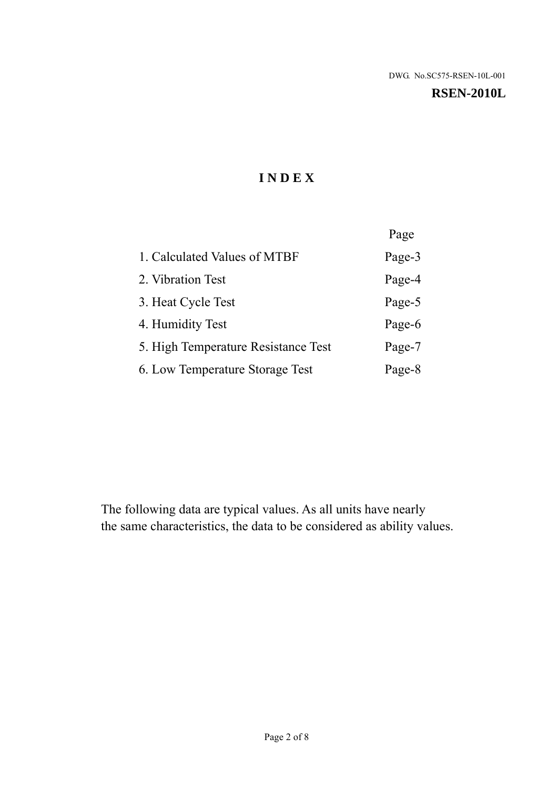#### **RSEN-2010L**

## **I N D E X**

|                                     | Page   |
|-------------------------------------|--------|
| 1. Calculated Values of MTBF        | Page-3 |
| 2. Vibration Test                   | Page-4 |
| 3. Heat Cycle Test                  | Page-5 |
| 4. Humidity Test                    | Page-6 |
| 5. High Temperature Resistance Test | Page-7 |
| 6. Low Temperature Storage Test     | Page-8 |

The following data are typical values. As all units have nearly the same characteristics, the data to be considered as ability values.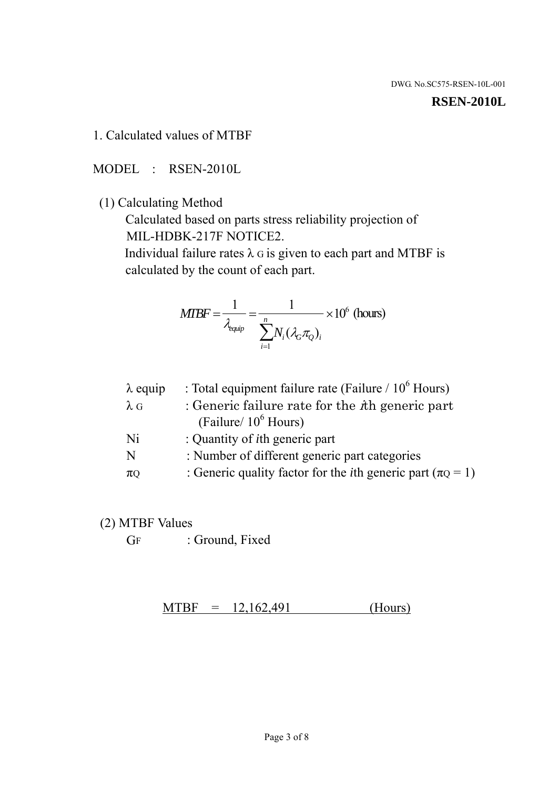#### **RSEN-2010L**

1. Calculated values of MTBF

MODEL : RSEN-2010L

(1) Calculating Method

 Calculated based on parts stress reliability projection of MIL-HDBK-217F NOTICE2.

Individual failure rates  $\lambda$  G is given to each part and MTBF is calculated by the count of each part.

$$
MTBF = \frac{1}{\lambda_{\text{equip}}} = \frac{1}{\sum_{i=1}^{n} N_i (\lambda_G \pi_Q)_i} \times 10^6 \text{ (hours)}
$$

| : Total equipment failure rate (Failure / $10^6$ Hours)                   |
|---------------------------------------------------------------------------|
| : Generic failure rate for the $\hbar$ generic part                       |
| (Failure/ $10^6$ Hours)                                                   |
| : Quantity of <i>i</i> th generic part                                    |
| : Number of different generic part categories                             |
| : Generic quality factor for the <i>i</i> th generic part ( $\pi Q = 1$ ) |
|                                                                           |

- (2) MTBF Values
	- GF : Ground, Fixed

 $MTBF = 12,162,491$  (Hours)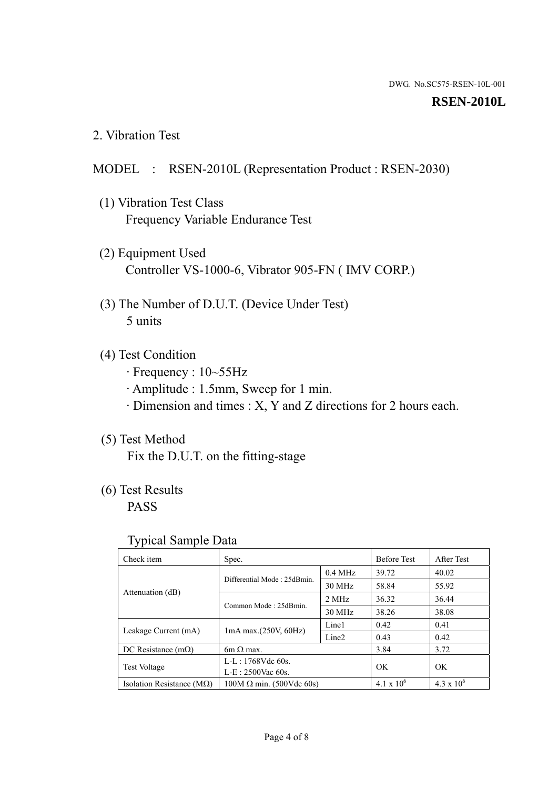#### **RSEN-2010L**

2. Vibration Test

### MODEL : RSEN-2010L (Representation Product : RSEN-2030)

- (1) Vibration Test Class Frequency Variable Endurance Test
- (2) Equipment Used Controller VS-1000-6, Vibrator 905-FN ( IMV CORP.)
- (3) The Number of D.U.T. (Device Under Test) 5 units
- (4) Test Condition
	- · Frequency : 10~55Hz
	- · Amplitude : 1.5mm, Sweep for 1 min.
	- · Dimension and times : X, Y and Z directions for 2 hours each.

## (5) Test Method

Fix the D.U.T. on the fitting-stage

## (6) Test Results

PASS

#### Typical Sample Data

| Check item                         | Spec.                           |                   | <b>Before Test</b> | After Test          |
|------------------------------------|---------------------------------|-------------------|--------------------|---------------------|
| Attenuation (dB)                   | Differential Mode: 25dBmin.     | $0.4$ MHz         | 39.72              | 40.02               |
|                                    |                                 | 30 MHz            | 58.84              | 55.92               |
|                                    | Common Mode: 25dBmin.           | 2 MHz             | 36.32              | 36.44               |
|                                    |                                 | 30 MHz            | 38.26              | 38.08               |
| Leakage Current (mA)               | $1mA$ max. $(250V, 60Hz)$       | Line1             | 0.42               | 0.41                |
|                                    |                                 | Line <sub>2</sub> | 0.43               | 0.42                |
| DC Resistance $(m\Omega)$          | $6m \Omega$ max.                |                   | 3.84               | 3.72                |
| <b>Test Voltage</b>                | $L-L: 1768Vdc$ 60s.             |                   | OK                 | OK                  |
|                                    | $L-E: 2500$ Vac 60s.            |                   |                    |                     |
| Isolation Resistance ( $M\Omega$ ) | $100M \Omega$ min. (500Vdc 60s) |                   | $4.1 \times 10^6$  | $4.3 \times 10^{6}$ |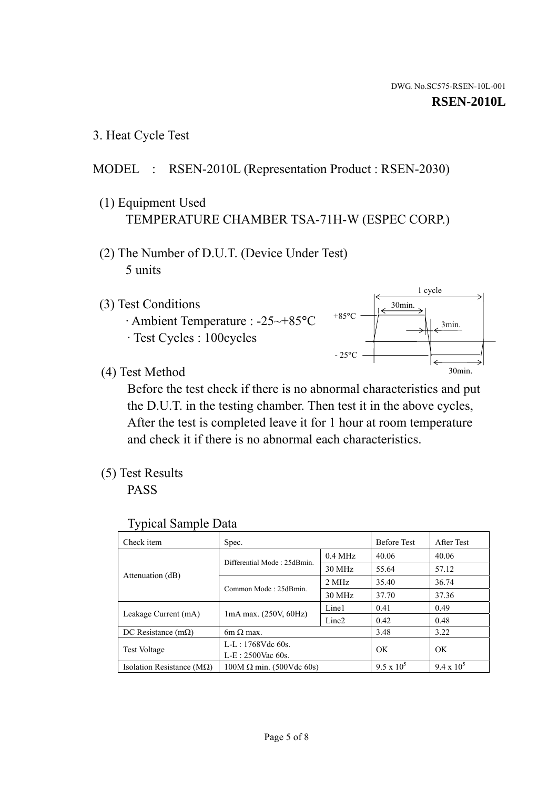1 cycle

30min.

3min.

30min.

3. Heat Cycle Test

## MODEL : RSEN-2010L (Representation Product : RSEN-2030)

- (1) Equipment Used TEMPERATURE CHAMBER TSA-71H-W (ESPEC CORP.)
- (2) The Number of D.U.T. (Device Under Test) 5 units
- (3) Test Conditions
	- · Ambient Temperature : -25~+85°C · Test Cycles : 100cycles
- (4) Test Method

 Before the test check if there is no abnormal characteristics and put the D.U.T. in the testing chamber. Then test it in the above cycles, After the test is completed leave it for 1 hour at room temperature and check it if there is no abnormal each characteristics.

 $+85$ °C

 $-25^{\circ}$ C

(5) Test Results

PASS

| <b>Typical Sample Data</b> |  |  |
|----------------------------|--|--|
|----------------------------|--|--|

| Check item                         | Spec.                           |                   | <b>Before Test</b> | After Test        |
|------------------------------------|---------------------------------|-------------------|--------------------|-------------------|
|                                    | Differential Mode: 25dBmin.     | $0.4$ MHz         | 40.06              | 40.06             |
|                                    |                                 | 30 MHz            | 55.64              | 57.12             |
| Attenuation (dB)                   | Common Mode: 25dBmin.           | 2 MHz             | 35.40              | 36.74             |
|                                    |                                 | 30 MHz            | 37.70              | 37.36             |
| Leakage Current (mA)               | $1mA$ max. $(250V, 60Hz)$       | Line1             | 0.41               | 0.49              |
|                                    |                                 | Line <sub>2</sub> | 0.42               | 0.48              |
| DC Resistance $(m\Omega)$          | 6m $\Omega$ max.                |                   | 3.48               | 3.22              |
| <b>Test Voltage</b>                | $L-L: 1768Vdc$ 60s.             |                   | OK                 | OK                |
|                                    | $L-E: 2500$ Vac 60s.            |                   |                    |                   |
| Isolation Resistance ( $M\Omega$ ) | $100M \Omega$ min. (500Vdc 60s) |                   | $9.5 \times 10^5$  | $9.4 \times 10^5$ |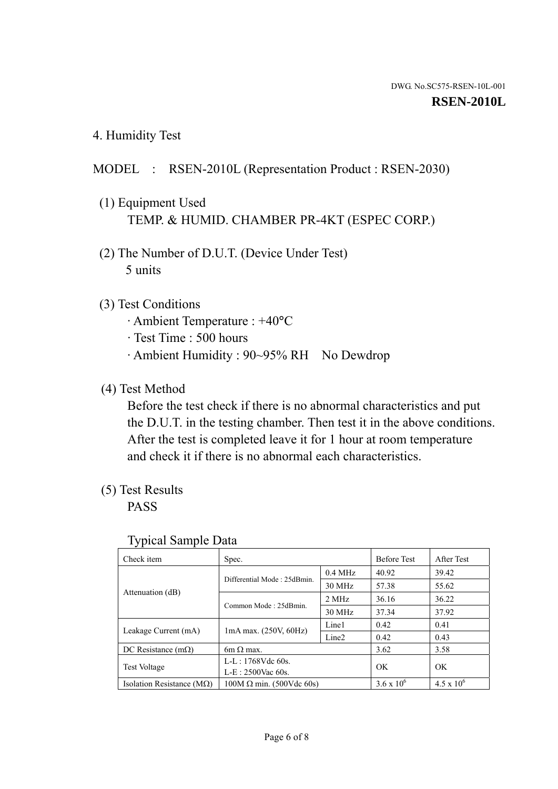4. Humidity Test

## MODEL : RSEN-2010L (Representation Product : RSEN-2030)

- (1) Equipment Used TEMP. & HUMID. CHAMBER PR-4KT (ESPEC CORP.)
- (2) The Number of D.U.T. (Device Under Test) 5 units

### (3) Test Conditions

- · Ambient Temperature : +40°C
- · Test Time : 500 hours
- · Ambient Humidity : 90~95% RH No Dewdrop

## (4) Test Method

 Before the test check if there is no abnormal characteristics and put the D.U.T. in the testing chamber. Then test it in the above conditions. After the test is completed leave it for 1 hour at room temperature and check it if there is no abnormal each characteristics.

## (5) Test Results

PASS

| . .                                |                                 |                   |                     |                     |
|------------------------------------|---------------------------------|-------------------|---------------------|---------------------|
| Check item                         | Spec.                           |                   | <b>Before Test</b>  | After Test          |
| Attenuation (dB)                   | Differential Mode: 25dBmin.     | $0.4$ MHz         | 40.92               | 39.42               |
|                                    |                                 | 30 MHz            | 57.38               | 55.62               |
|                                    | Common Mode: 25dBmin.           | 2 MHz             | 36.16               | 36.22               |
|                                    |                                 | 30 MHz            | 37.34               | 37.92               |
| Leakage Current (mA)               | $1mA$ max. $(250V, 60Hz)$       | Line1             | 0.42                | 0.41                |
|                                    |                                 | Line <sub>2</sub> | 0.42                | 0.43                |
| DC Resistance $(m\Omega)$          | 6m $\Omega$ max.                |                   | 3.62                | 3.58                |
| <b>Test Voltage</b>                | $L-L: 1768Vdc$ 60s.             |                   | OK                  | OK                  |
|                                    | $L-E: 2500$ Vac 60s.            |                   |                     |                     |
| Isolation Resistance ( $M\Omega$ ) | $100M \Omega$ min. (500Vdc 60s) |                   | $3.6 \times 10^{6}$ | $4.5 \times 10^{6}$ |

#### Typical Sample Data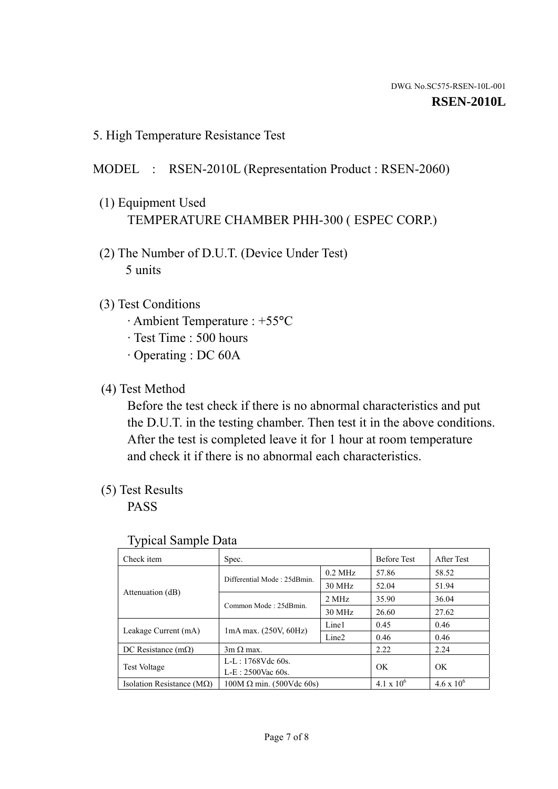5. High Temperature Resistance Test

## MODEL : RSEN-2010L (Representation Product : RSEN-2060)

- (1) Equipment Used TEMPERATURE CHAMBER PHH-300 ( ESPEC CORP.)
- (2) The Number of D.U.T. (Device Under Test) 5 units
- (3) Test Conditions
	- · Ambient Temperature : +55°C
	- · Test Time : 500 hours
	- · Operating : DC 60A
- (4) Test Method

 Before the test check if there is no abnormal characteristics and put the D.U.T. in the testing chamber. Then test it in the above conditions. After the test is completed leave it for 1 hour at room temperature and check it if there is no abnormal each characteristics.

(5) Test Results

PASS

| ╯┸                                 |                                    |                   |                     |                     |
|------------------------------------|------------------------------------|-------------------|---------------------|---------------------|
| Check item                         | Spec.                              |                   | <b>Before Test</b>  | After Test          |
| Attenuation (dB)                   | Differential Mode: 25dBmin.        | $0.2$ MHz         | 57.86               | 58.52               |
|                                    |                                    | 30 MHz            | 52.04               | 51.94               |
|                                    | Common Mode: 25dBmin.              | 2 MHz             | 35.90               | 36.04               |
|                                    |                                    | 30 MHz            | 26.60               | 27.62               |
| Leakage Current (mA)               | Line1<br>$1mA$ max. $(250V, 60Hz)$ |                   | 0.45                | 0.46                |
|                                    |                                    | Line <sub>2</sub> | 0.46                | 0.46                |
| DC Resistance $(m\Omega)$          | $3m \Omega$ max.                   |                   | 2.22                | 2.24                |
| <b>Test Voltage</b>                | $L-L: 1768Vdc$ 60s.                |                   | OK                  | OK                  |
|                                    | $L-E: 2500$ Vac 60s.               |                   |                     |                     |
| Isolation Resistance ( $M\Omega$ ) | $100M \Omega$ min. (500Vdc 60s)    |                   | $4.1 \times 10^{6}$ | $4.6 \times 10^{6}$ |

#### Typical Sample Data